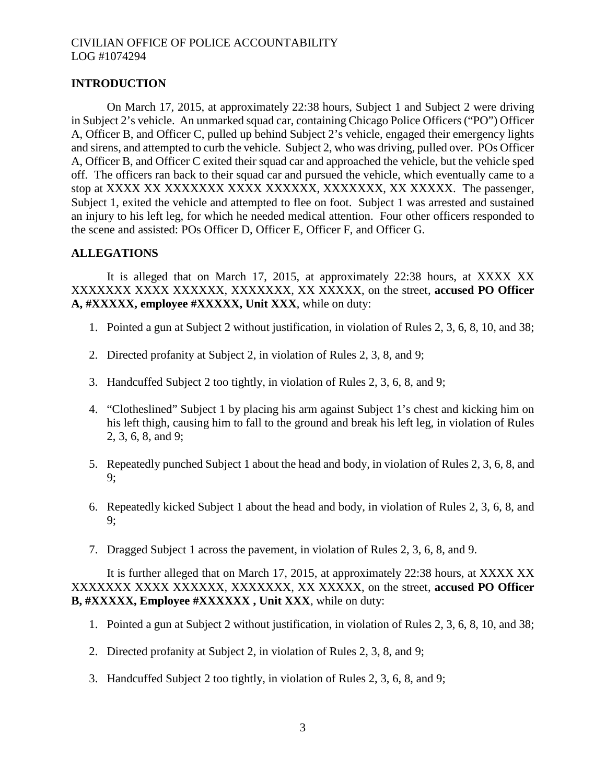# **INTRODUCTION**

On March 17, 2015, at approximately 22:38 hours, Subject 1 and Subject 2 were driving in Subject 2's vehicle. An unmarked squad car, containing Chicago Police Officers ("PO") Officer A, Officer B, and Officer C, pulled up behind Subject 2's vehicle, engaged their emergency lights and sirens, and attempted to curb the vehicle. Subject 2, who was driving, pulled over. POs Officer A, Officer B, and Officer C exited their squad car and approached the vehicle, but the vehicle sped off. The officers ran back to their squad car and pursued the vehicle, which eventually came to a stop at XXXX XX XXXXXXX XXXX XXXXXX, XXXXXXX, XX XXXXX. The passenger, Subject 1, exited the vehicle and attempted to flee on foot. Subject 1 was arrested and sustained an injury to his left leg, for which he needed medical attention. Four other officers responded to the scene and assisted: POs Officer D, Officer E, Officer F, and Officer G.

# **ALLEGATIONS**

It is alleged that on March 17, 2015, at approximately 22:38 hours, at XXXX XX XXXXXXX XXXX XXXXXX, XXXXXXX, XX XXXXX, on the street, **accused PO Officer A, #XXXXX, employee #XXXXX, Unit XXX**, while on duty:

- 1. Pointed a gun at Subject 2 without justification, in violation of Rules 2, 3, 6, 8, 10, and 38;
- 2. Directed profanity at Subject 2, in violation of Rules 2, 3, 8, and 9;
- 3. Handcuffed Subject 2 too tightly, in violation of Rules 2, 3, 6, 8, and 9;
- 4. "Clotheslined" Subject 1 by placing his arm against Subject 1's chest and kicking him on his left thigh, causing him to fall to the ground and break his left leg, in violation of Rules 2, 3, 6, 8, and 9;
- 5. Repeatedly punched Subject 1 about the head and body, in violation of Rules 2, 3, 6, 8, and 9;
- 6. Repeatedly kicked Subject 1 about the head and body, in violation of Rules 2, 3, 6, 8, and 9;
- 7. Dragged Subject 1 across the pavement, in violation of Rules 2, 3, 6, 8, and 9.

It is further alleged that on March 17, 2015, at approximately 22:38 hours, at XXXX XX XXXXXXX XXXX XXXXXX, XXXXXXX, XX XXXXX, on the street, **accused PO Officer B, #XXXXX, Employee #XXXXXX , Unit XXX**, while on duty:

- 1. Pointed a gun at Subject 2 without justification, in violation of Rules 2, 3, 6, 8, 10, and 38;
- 2. Directed profanity at Subject 2, in violation of Rules 2, 3, 8, and 9;
- 3. Handcuffed Subject 2 too tightly, in violation of Rules 2, 3, 6, 8, and 9;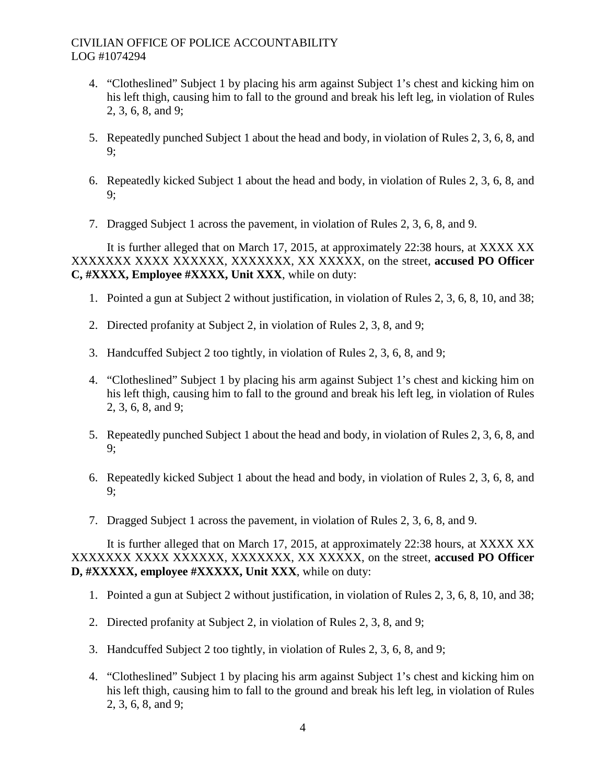- 4. "Clotheslined" Subject 1 by placing his arm against Subject 1's chest and kicking him on his left thigh, causing him to fall to the ground and break his left leg, in violation of Rules 2, 3, 6, 8, and 9;
- 5. Repeatedly punched Subject 1 about the head and body, in violation of Rules 2, 3, 6, 8, and 9;
- 6. Repeatedly kicked Subject 1 about the head and body, in violation of Rules 2, 3, 6, 8, and 9;
- 7. Dragged Subject 1 across the pavement, in violation of Rules 2, 3, 6, 8, and 9.

It is further alleged that on March 17, 2015, at approximately 22:38 hours, at XXXX XX XXXXXXX XXXX XXXXXX, XXXXXXX, XX XXXXX, on the street, **accused PO Officer C, #XXXX, Employee #XXXX, Unit XXX**, while on duty:

- 1. Pointed a gun at Subject 2 without justification, in violation of Rules 2, 3, 6, 8, 10, and 38;
- 2. Directed profanity at Subject 2, in violation of Rules 2, 3, 8, and 9;
- 3. Handcuffed Subject 2 too tightly, in violation of Rules 2, 3, 6, 8, and 9;
- 4. "Clotheslined" Subject 1 by placing his arm against Subject 1's chest and kicking him on his left thigh, causing him to fall to the ground and break his left leg, in violation of Rules 2, 3, 6, 8, and 9;
- 5. Repeatedly punched Subject 1 about the head and body, in violation of Rules 2, 3, 6, 8, and 9;
- 6. Repeatedly kicked Subject 1 about the head and body, in violation of Rules 2, 3, 6, 8, and 9;
- 7. Dragged Subject 1 across the pavement, in violation of Rules 2, 3, 6, 8, and 9.

It is further alleged that on March 17, 2015, at approximately 22:38 hours, at XXXX XX XXXXXXX XXXX XXXXXX, XXXXXXX, XX XXXXX, on the street, **accused PO Officer D, #XXXXX, employee #XXXXX, Unit XXX**, while on duty:

- 1. Pointed a gun at Subject 2 without justification, in violation of Rules 2, 3, 6, 8, 10, and 38;
- 2. Directed profanity at Subject 2, in violation of Rules 2, 3, 8, and 9;
- 3. Handcuffed Subject 2 too tightly, in violation of Rules 2, 3, 6, 8, and 9;
- 4. "Clotheslined" Subject 1 by placing his arm against Subject 1's chest and kicking him on his left thigh, causing him to fall to the ground and break his left leg, in violation of Rules 2, 3, 6, 8, and 9;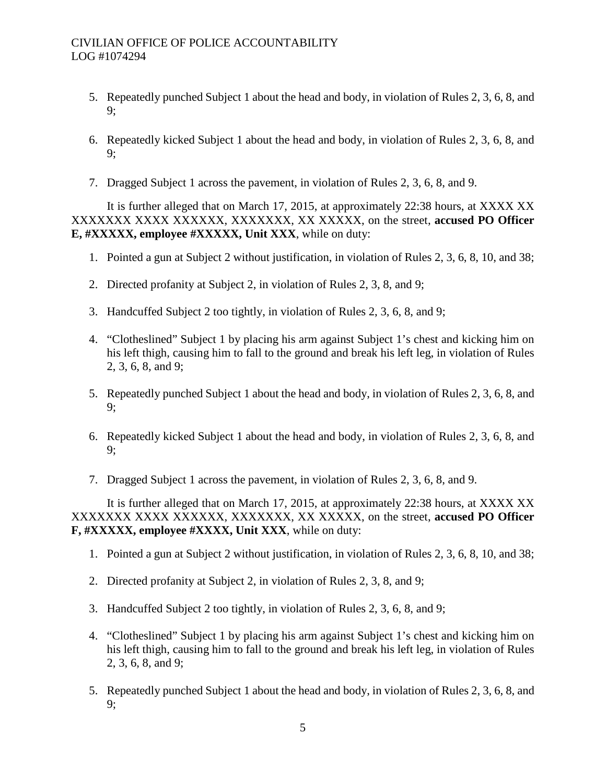- 5. Repeatedly punched Subject 1 about the head and body, in violation of Rules 2, 3, 6, 8, and 9;
- 6. Repeatedly kicked Subject 1 about the head and body, in violation of Rules 2, 3, 6, 8, and 9;
- 7. Dragged Subject 1 across the pavement, in violation of Rules 2, 3, 6, 8, and 9.

It is further alleged that on March 17, 2015, at approximately 22:38 hours, at XXXX XX XXXXXXX XXXX XXXXXX, XXXXXXX, XX XXXXX, on the street, **accused PO Officer E, #XXXXX, employee #XXXXX, Unit XXX**, while on duty:

- 1. Pointed a gun at Subject 2 without justification, in violation of Rules 2, 3, 6, 8, 10, and 38;
- 2. Directed profanity at Subject 2, in violation of Rules 2, 3, 8, and 9;
- 3. Handcuffed Subject 2 too tightly, in violation of Rules 2, 3, 6, 8, and 9;
- 4. "Clotheslined" Subject 1 by placing his arm against Subject 1's chest and kicking him on his left thigh, causing him to fall to the ground and break his left leg, in violation of Rules 2, 3, 6, 8, and 9;
- 5. Repeatedly punched Subject 1 about the head and body, in violation of Rules 2, 3, 6, 8, and 9;
- 6. Repeatedly kicked Subject 1 about the head and body, in violation of Rules 2, 3, 6, 8, and 9;
- 7. Dragged Subject 1 across the pavement, in violation of Rules 2, 3, 6, 8, and 9.

It is further alleged that on March 17, 2015, at approximately 22:38 hours, at XXXX XX XXXXXXX XXXX XXXXXX, XXXXXXX, XX XXXXX, on the street, **accused PO Officer F, #XXXXX, employee #XXXX, Unit XXX**, while on duty:

- 1. Pointed a gun at Subject 2 without justification, in violation of Rules 2, 3, 6, 8, 10, and 38;
- 2. Directed profanity at Subject 2, in violation of Rules 2, 3, 8, and 9;
- 3. Handcuffed Subject 2 too tightly, in violation of Rules 2, 3, 6, 8, and 9;
- 4. "Clotheslined" Subject 1 by placing his arm against Subject 1's chest and kicking him on his left thigh, causing him to fall to the ground and break his left leg, in violation of Rules 2, 3, 6, 8, and 9;
- 5. Repeatedly punched Subject 1 about the head and body, in violation of Rules 2, 3, 6, 8, and 9;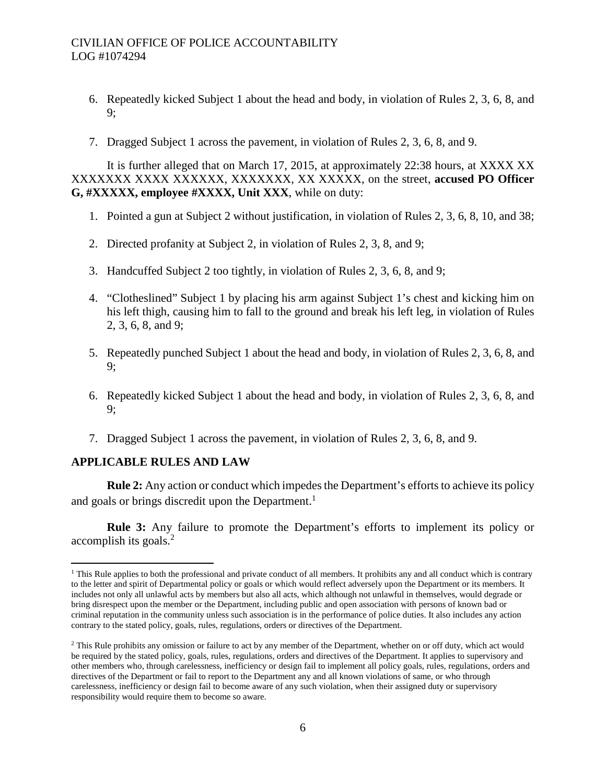- 6. Repeatedly kicked Subject 1 about the head and body, in violation of Rules 2, 3, 6, 8, and 9;
- 7. Dragged Subject 1 across the pavement, in violation of Rules 2, 3, 6, 8, and 9.

It is further alleged that on March 17, 2015, at approximately 22:38 hours, at XXXX XX XXXXXXX XXXX XXXXXX, XXXXXXX, XX XXXXX, on the street, **accused PO Officer G, #XXXXX, employee #XXXX, Unit XXX**, while on duty:

- 1. Pointed a gun at Subject 2 without justification, in violation of Rules 2, 3, 6, 8, 10, and 38;
- 2. Directed profanity at Subject 2, in violation of Rules 2, 3, 8, and 9;
- 3. Handcuffed Subject 2 too tightly, in violation of Rules 2, 3, 6, 8, and 9;
- 4. "Clotheslined" Subject 1 by placing his arm against Subject 1's chest and kicking him on his left thigh, causing him to fall to the ground and break his left leg, in violation of Rules 2, 3, 6, 8, and 9;
- 5. Repeatedly punched Subject 1 about the head and body, in violation of Rules 2, 3, 6, 8, and 9;
- 6. Repeatedly kicked Subject 1 about the head and body, in violation of Rules 2, 3, 6, 8, and 9;
- 7. Dragged Subject 1 across the pavement, in violation of Rules 2, 3, 6, 8, and 9.

# **APPLICABLE RULES AND LAW**

**Rule 2:** Any action or conduct which impedes the Department's efforts to achieve its policy and goals or brings discredit upon the Department.<sup>[1](#page-3-0)</sup>

**Rule 3:** Any failure to promote the Department's efforts to implement its policy or accomplishits goals[.](#page-3-1)<sup>2</sup>

<span id="page-3-0"></span> $<sup>1</sup>$  This Rule applies to both the professional and private conduct of all members. It prohibits any and all conduct which is contrary</sup> to the letter and spirit of Departmental policy or goals or which would reflect adversely upon the Department or its members. It includes not only all unlawful acts by members but also all acts, which although not unlawful in themselves, would degrade or bring disrespect upon the member or the Department, including public and open association with persons of known bad or criminal reputation in the community unless such association is in the performance of police duties. It also includes any action contrary to the stated policy, goals, rules, regulations, orders or directives of the Department.

<span id="page-3-1"></span><sup>&</sup>lt;sup>2</sup> This Rule prohibits any omission or failure to act by any member of the Department, whether on or off duty, which act would be required by the stated policy, goals, rules, regulations, orders and directives of the Department. It applies to supervisory and other members who, through carelessness, inefficiency or design fail to implement all policy goals, rules, regulations, orders and directives of the Department or fail to report to the Department any and all known violations of same, or who through carelessness, inefficiency or design fail to become aware of any such violation, when their assigned duty or supervisory responsibility would require them to become so aware.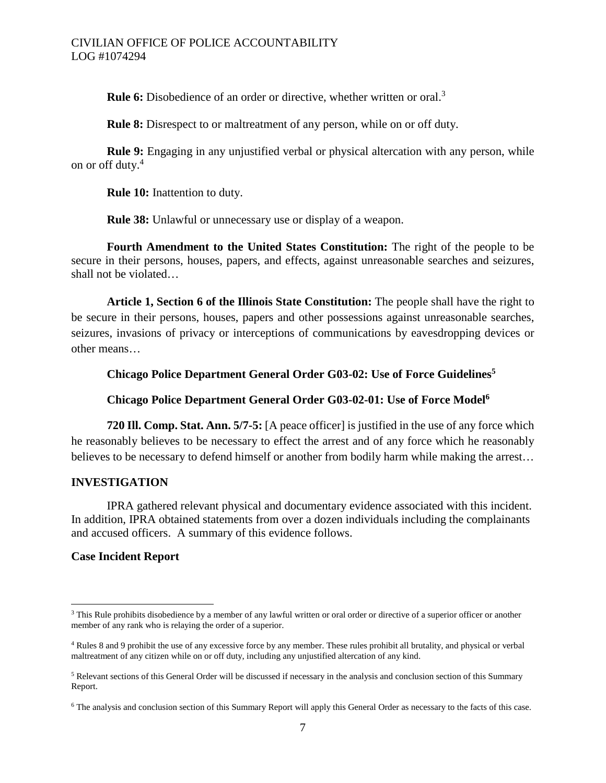**Rule6:** Disobedience of an order or directive, whether written or oral[.](#page-4-0)<sup>3</sup>

**Rule 8:** Disrespect to or maltreatment of any person, while on or off duty.

**Rule 9:** Engaging in any unjustified verbal or physical altercation with any person, while on or offduty[.](#page-4-1)<sup>4</sup>

**Rule 10:** Inattention to duty.

**Rule 38:** Unlawful or unnecessary use or display of a weapon.

**Fourth Amendment to the United States Constitution:** The right of the people to be secure in their persons, houses, papers, and effects, against unreasonable searches and seizures, shall not be violated…

**Article 1, Section 6 of the Illinois State Constitution:** The people shall have the right to be secure in their persons, houses, papers and other possessions against unreasonable searches, seizures, invasions of privacy or interceptions of communications by eavesdropping devices or other means…

# **Chicago Police Department General Order G03-02: Use of Force Guidelines[5](#page-4-2)**

# **Chicago Police Department General Order G03-02-01: Use of Force Model[6](#page-4-3)**

**720 Ill. Comp. Stat. Ann. 5/7-5:** [A peace officer] is justified in the use of any force which he reasonably believes to be necessary to effect the arrest and of any force which he reasonably believes to be necessary to defend himself or another from bodily harm while making the arrest…

# **INVESTIGATION**

IPRA gathered relevant physical and documentary evidence associated with this incident. In addition, IPRA obtained statements from over a dozen individuals including the complainants and accused officers. A summary of this evidence follows.

# **Case Incident Report**

<span id="page-4-0"></span><sup>&</sup>lt;sup>3</sup> This Rule prohibits disobedience by a member of any lawful written or oral order or directive of a superior officer or another member of any rank who is relaying the order of a superior.

<span id="page-4-1"></span><sup>4</sup> Rules 8 and 9 prohibit the use of any excessive force by any member. These rules prohibit all brutality, and physical or verbal maltreatment of any citizen while on or off duty, including any unjustified altercation of any kind.

<span id="page-4-2"></span><sup>5</sup> Relevant sections of this General Order will be discussed if necessary in the analysis and conclusion section of this Summary Report.

<span id="page-4-3"></span><sup>6</sup> The analysis and conclusion section of this Summary Report will apply this General Order as necessary to the facts of this case.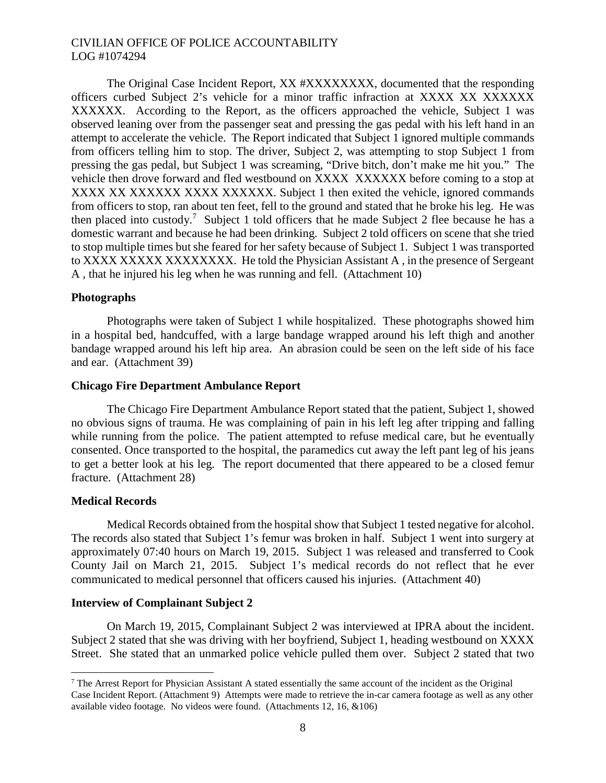The Original Case Incident Report, XX #XXXXXXXX, documented that the responding officers curbed Subject 2's vehicle for a minor traffic infraction at XXXX XX XXXXXX XXXXXX. According to the Report, as the officers approached the vehicle, Subject 1 was observed leaning over from the passenger seat and pressing the gas pedal with his left hand in an attempt to accelerate the vehicle. The Report indicated that Subject 1 ignored multiple commands from officers telling him to stop. The driver, Subject 2, was attempting to stop Subject 1 from pressing the gas pedal, but Subject 1 was screaming, "Drive bitch, don't make me hit you." The vehicle then drove forward and fled westbound on XXXX XXXXXX before coming to a stop at XXXX XX XXXXXX XXXXXXXXXX. Subject 1 then exited the vehicle, ignored commands from officers to stop, ran about ten feet, fell to the ground and stated that he broke his leg. He was then placed into custody.<sup>[7](#page-5-0)</sup> Subject 1 told officers that he made Subject 2 flee because he has a domestic warrant and because he had been drinking. Subject 2 told officers on scene that she tried to stop multiple times but she feared for her safety because of Subject 1. Subject 1 was transported to XXXX XXXXX XXXXXXXX. He told the Physician Assistant A , in the presence of Sergeant A , that he injured his leg when he was running and fell. (Attachment 10)

### **Photographs**

Photographs were taken of Subject 1 while hospitalized. These photographs showed him in a hospital bed, handcuffed, with a large bandage wrapped around his left thigh and another bandage wrapped around his left hip area. An abrasion could be seen on the left side of his face and ear. (Attachment 39)

### **Chicago Fire Department Ambulance Report**

The Chicago Fire Department Ambulance Report stated that the patient, Subject 1, showed no obvious signs of trauma. He was complaining of pain in his left leg after tripping and falling while running from the police. The patient attempted to refuse medical care, but he eventually consented. Once transported to the hospital, the paramedics cut away the left pant leg of his jeans to get a better look at his leg. The report documented that there appeared to be a closed femur fracture. (Attachment 28)

#### **Medical Records**

Medical Records obtained from the hospital show that Subject 1 tested negative for alcohol. The records also stated that Subject 1's femur was broken in half. Subject 1 went into surgery at approximately 07:40 hours on March 19, 2015. Subject 1 was released and transferred to Cook County Jail on March 21, 2015. Subject 1's medical records do not reflect that he ever communicated to medical personnel that officers caused his injuries. (Attachment 40)

#### **Interview of Complainant Subject 2**

On March 19, 2015, Complainant Subject 2 was interviewed at IPRA about the incident. Subject 2 stated that she was driving with her boyfriend, Subject 1, heading westbound on XXXX Street. She stated that an unmarked police vehicle pulled them over. Subject 2 stated that two

<span id="page-5-0"></span><sup>&</sup>lt;sup>7</sup> The Arrest Report for Physician Assistant A stated essentially the same account of the incident as the Original Case Incident Report. (Attachment 9) Attempts were made to retrieve the in-car camera footage as well as any other available video footage. No videos were found. (Attachments 12, 16, &106)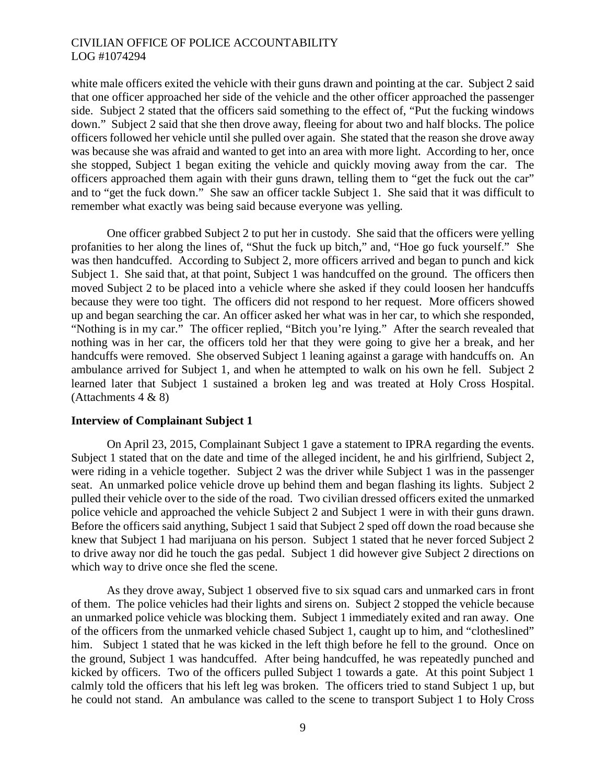white male officers exited the vehicle with their guns drawn and pointing at the car. Subject 2 said that one officer approached her side of the vehicle and the other officer approached the passenger side. Subject 2 stated that the officers said something to the effect of, "Put the fucking windows down." Subject 2 said that she then drove away, fleeing for about two and half blocks. The police officers followed her vehicle until she pulled over again. She stated that the reason she drove away was because she was afraid and wanted to get into an area with more light. According to her, once she stopped, Subject 1 began exiting the vehicle and quickly moving away from the car. The officers approached them again with their guns drawn, telling them to "get the fuck out the car" and to "get the fuck down." She saw an officer tackle Subject 1. She said that it was difficult to remember what exactly was being said because everyone was yelling.

One officer grabbed Subject 2 to put her in custody. She said that the officers were yelling profanities to her along the lines of, "Shut the fuck up bitch," and, "Hoe go fuck yourself." She was then handcuffed. According to Subject 2, more officers arrived and began to punch and kick Subject 1. She said that, at that point, Subject 1 was handcuffed on the ground. The officers then moved Subject 2 to be placed into a vehicle where she asked if they could loosen her handcuffs because they were too tight. The officers did not respond to her request. More officers showed up and began searching the car. An officer asked her what was in her car, to which she responded, "Nothing is in my car." The officer replied, "Bitch you're lying." After the search revealed that nothing was in her car, the officers told her that they were going to give her a break, and her handcuffs were removed. She observed Subject 1 leaning against a garage with handcuffs on. An ambulance arrived for Subject 1, and when he attempted to walk on his own he fell. Subject 2 learned later that Subject 1 sustained a broken leg and was treated at Holy Cross Hospital. (Attachments 4 & 8)

### **Interview of Complainant Subject 1**

On April 23, 2015, Complainant Subject 1 gave a statement to IPRA regarding the events. Subject 1 stated that on the date and time of the alleged incident, he and his girlfriend, Subject 2, were riding in a vehicle together. Subject 2 was the driver while Subject 1 was in the passenger seat. An unmarked police vehicle drove up behind them and began flashing its lights. Subject 2 pulled their vehicle over to the side of the road. Two civilian dressed officers exited the unmarked police vehicle and approached the vehicle Subject 2 and Subject 1 were in with their guns drawn. Before the officers said anything, Subject 1 said that Subject 2 sped off down the road because she knew that Subject 1 had marijuana on his person. Subject 1 stated that he never forced Subject 2 to drive away nor did he touch the gas pedal. Subject 1 did however give Subject 2 directions on which way to drive once she fled the scene.

As they drove away, Subject 1 observed five to six squad cars and unmarked cars in front of them. The police vehicles had their lights and sirens on. Subject 2 stopped the vehicle because an unmarked police vehicle was blocking them. Subject 1 immediately exited and ran away. One of the officers from the unmarked vehicle chased Subject 1, caught up to him, and "clotheslined" him. Subject 1 stated that he was kicked in the left thigh before he fell to the ground. Once on the ground, Subject 1 was handcuffed. After being handcuffed, he was repeatedly punched and kicked by officers. Two of the officers pulled Subject 1 towards a gate. At this point Subject 1 calmly told the officers that his left leg was broken. The officers tried to stand Subject 1 up, but he could not stand. An ambulance was called to the scene to transport Subject 1 to Holy Cross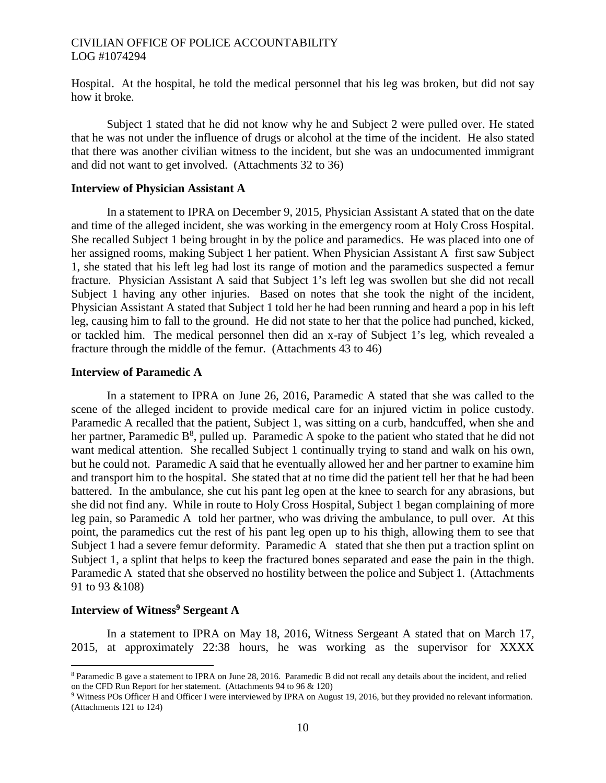Hospital. At the hospital, he told the medical personnel that his leg was broken, but did not say how it broke.

Subject 1 stated that he did not know why he and Subject 2 were pulled over. He stated that he was not under the influence of drugs or alcohol at the time of the incident. He also stated that there was another civilian witness to the incident, but she was an undocumented immigrant and did not want to get involved. (Attachments 32 to 36)

#### **Interview of Physician Assistant A**

In a statement to IPRA on December 9, 2015, Physician Assistant A stated that on the date and time of the alleged incident, she was working in the emergency room at Holy Cross Hospital. She recalled Subject 1 being brought in by the police and paramedics. He was placed into one of her assigned rooms, making Subject 1 her patient. When Physician Assistant A first saw Subject 1, she stated that his left leg had lost its range of motion and the paramedics suspected a femur fracture. Physician Assistant A said that Subject 1's left leg was swollen but she did not recall Subject 1 having any other injuries. Based on notes that she took the night of the incident, Physician Assistant A stated that Subject 1 told her he had been running and heard a pop in his left leg, causing him to fall to the ground. He did not state to her that the police had punched, kicked, or tackled him. The medical personnel then did an x-ray of Subject 1's leg, which revealed a fracture through the middle of the femur. (Attachments 43 to 46)

### **Interview of Paramedic A**

In a statement to IPRA on June 26, 2016, Paramedic A stated that she was called to the scene of the alleged incident to provide medical care for an injured victim in police custody. Paramedic A recalled that the patient, Subject 1, was sitting on a curb, handcuffed, when she and her partner, Paramedic  $B^8$ , pulled up. Paramedic A spoke to the patient who stated that he did not want medical attention. She recalled Subject 1 continually trying to stand and walk on his own, but he could not. Paramedic A said that he eventually allowed her and her partner to examine him and transport him to the hospital. She stated that at no time did the patient tell her that he had been battered. In the ambulance, she cut his pant leg open at the knee to search for any abrasions, but she did not find any. While in route to Holy Cross Hospital, Subject 1 began complaining of more leg pain, so Paramedic A told her partner, who was driving the ambulance, to pull over. At this point, the paramedics cut the rest of his pant leg open up to his thigh, allowing them to see that Subject 1 had a severe femur deformity. Paramedic A stated that she then put a traction splint on Subject 1, a splint that helps to keep the fractured bones separated and ease the pain in the thigh. Paramedic A stated that she observed no hostility between the police and Subject 1. (Attachments 91 to 93 &108)

# **Interview of Witness[9](#page-7-1) Sergeant A**

In a statement to IPRA on May 18, 2016, Witness Sergeant A stated that on March 17, 2015, at approximately 22:38 hours, he was working as the supervisor for XXXX

<span id="page-7-0"></span><sup>8</sup> Paramedic B gave a statement to IPRA on June 28, 2016. Paramedic B did not recall any details about the incident, and relied on the CFD Run Report for her statement. (Attachments 94 to 96 & 120)

<span id="page-7-1"></span><sup>9</sup> Witness POs Officer H and Officer I were interviewed by IPRA on August 19, 2016, but they provided no relevant information. (Attachments 121 to 124)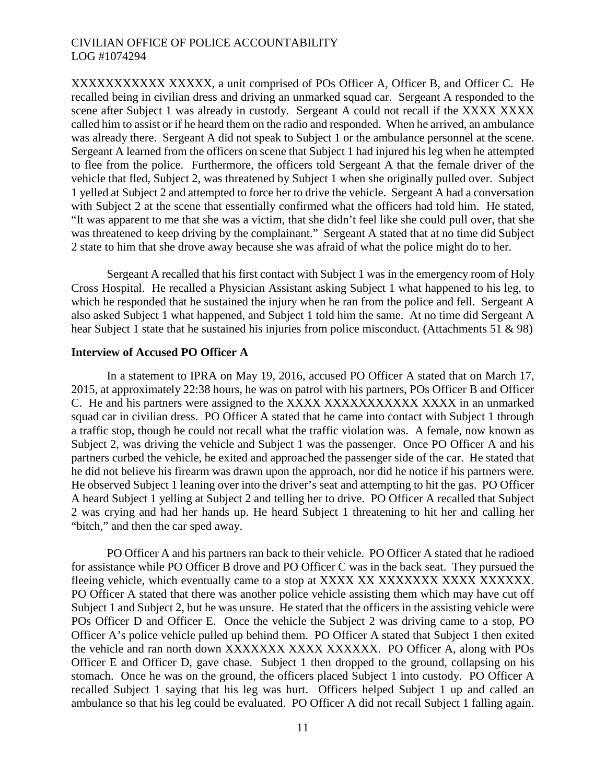XXXXXXXXXXX XXXXX, a unit comprised of POs Officer A, Officer B, and Officer C. He recalled being in civilian dress and driving an unmarked squad car. Sergeant A responded to the scene after Subject 1 was already in custody. Sergeant A could not recall if the XXXX XXXX called him to assist or if he heard them on the radio and responded. When he arrived, an ambulance was already there. Sergeant A did not speak to Subject 1 or the ambulance personnel at the scene. Sergeant A learned from the officers on scene that Subject 1 had injured his leg when he attempted to flee from the police. Furthermore, the officers told Sergeant A that the female driver of the vehicle that fled, Subject 2, was threatened by Subject 1 when she originally pulled over. Subject 1 yelled at Subject 2 and attempted to force her to drive the vehicle. Sergeant A had a conversation with Subject 2 at the scene that essentially confirmed what the officers had told him. He stated, "It was apparent to me that she was a victim, that she didn't feel like she could pull over, that she was threatened to keep driving by the complainant." Sergeant A stated that at no time did Subject 2 state to him that she drove away because she was afraid of what the police might do to her.

Sergeant A recalled that his first contact with Subject 1 was in the emergency room of Holy Cross Hospital. He recalled a Physician Assistant asking Subject 1 what happened to his leg, to which he responded that he sustained the injury when he ran from the police and fell. Sergeant A also asked Subject 1 what happened, and Subject 1 told him the same. At no time did Sergeant A hear Subject 1 state that he sustained his injuries from police misconduct. (Attachments 51 & 98)

### **Interview of Accused PO Officer A**

In a statement to IPRA on May 19, 2016, accused PO Officer A stated that on March 17, 2015, at approximately 22:38 hours, he was on patrol with his partners, POs Officer B and Officer C. He and his partners were assigned to the XXXX XXXXXXXXXXXX XXXX in an unmarked squad car in civilian dress. PO Officer A stated that he came into contact with Subject 1 through a traffic stop, though he could not recall what the traffic violation was. A female, now known as Subject 2, was driving the vehicle and Subject 1 was the passenger. Once PO Officer A and his partners curbed the vehicle, he exited and approached the passenger side of the car. He stated that he did not believe his firearm was drawn upon the approach, nor did he notice if his partners were. He observed Subject 1 leaning over into the driver's seat and attempting to hit the gas. PO Officer A heard Subject 1 yelling at Subject 2 and telling her to drive. PO Officer A recalled that Subject 2 was crying and had her hands up. He heard Subject 1 threatening to hit her and calling her "bitch," and then the car sped away.

PO Officer A and his partners ran back to their vehicle. PO Officer A stated that he radioed for assistance while PO Officer B drove and PO Officer C was in the back seat. They pursued the fleeing vehicle, which eventually came to a stop at XXXX XX XXXXXXX XXXX XXXXXX. PO Officer A stated that there was another police vehicle assisting them which may have cut off Subject 1 and Subject 2, but he was unsure. He stated that the officers in the assisting vehicle were POs Officer D and Officer E. Once the vehicle the Subject 2 was driving came to a stop, PO Officer A's police vehicle pulled up behind them. PO Officer A stated that Subject 1 then exited the vehicle and ran north down XXXXXXXX XXXXXXXX. PO Officer A, along with POs Officer E and Officer D, gave chase. Subject 1 then dropped to the ground, collapsing on his stomach. Once he was on the ground, the officers placed Subject 1 into custody. PO Officer A recalled Subject 1 saying that his leg was hurt. Officers helped Subject 1 up and called an ambulance so that his leg could be evaluated. PO Officer A did not recall Subject 1 falling again.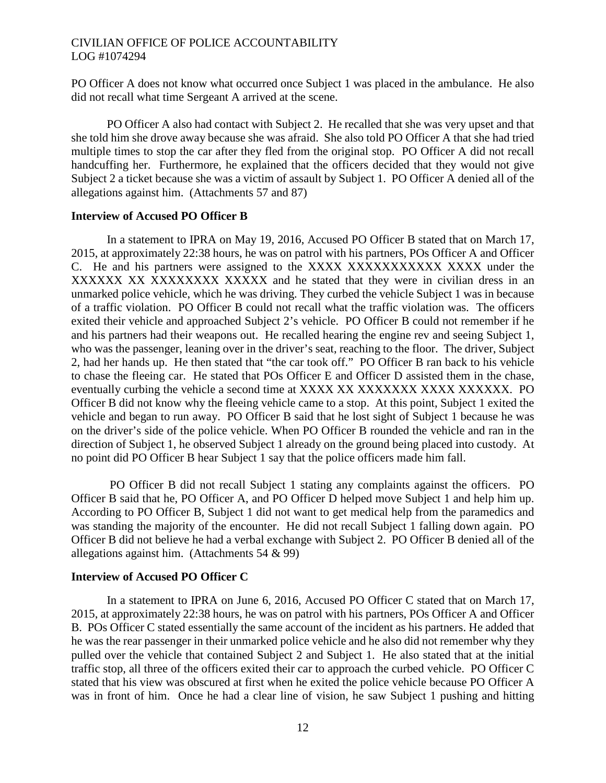PO Officer A does not know what occurred once Subject 1 was placed in the ambulance. He also did not recall what time Sergeant A arrived at the scene.

PO Officer A also had contact with Subject 2. He recalled that she was very upset and that she told him she drove away because she was afraid. She also told PO Officer A that she had tried multiple times to stop the car after they fled from the original stop. PO Officer A did not recall handcuffing her. Furthermore, he explained that the officers decided that they would not give Subject 2 a ticket because she was a victim of assault by Subject 1. PO Officer A denied all of the allegations against him. (Attachments 57 and 87)

# **Interview of Accused PO Officer B**

In a statement to IPRA on May 19, 2016, Accused PO Officer B stated that on March 17, 2015, at approximately 22:38 hours, he was on patrol with his partners, POs Officer A and Officer C. He and his partners were assigned to the XXXX XXXXXXXXXXX XXXX under the XXXXXX XX XXXXXXXX XXXXX and he stated that they were in civilian dress in an unmarked police vehicle, which he was driving. They curbed the vehicle Subject 1 was in because of a traffic violation. PO Officer B could not recall what the traffic violation was. The officers exited their vehicle and approached Subject 2's vehicle. PO Officer B could not remember if he and his partners had their weapons out. He recalled hearing the engine rev and seeing Subject 1, who was the passenger, leaning over in the driver's seat, reaching to the floor. The driver, Subject 2, had her hands up. He then stated that "the car took off." PO Officer B ran back to his vehicle to chase the fleeing car. He stated that POs Officer E and Officer D assisted them in the chase, eventually curbing the vehicle a second time at XXXX XX XXXXXXX XXXXXXXX. PO Officer B did not know why the fleeing vehicle came to a stop. At this point, Subject 1 exited the vehicle and began to run away. PO Officer B said that he lost sight of Subject 1 because he was on the driver's side of the police vehicle. When PO Officer B rounded the vehicle and ran in the direction of Subject 1, he observed Subject 1 already on the ground being placed into custody. At no point did PO Officer B hear Subject 1 say that the police officers made him fall.

PO Officer B did not recall Subject 1 stating any complaints against the officers. PO Officer B said that he, PO Officer A, and PO Officer D helped move Subject 1 and help him up. According to PO Officer B, Subject 1 did not want to get medical help from the paramedics and was standing the majority of the encounter. He did not recall Subject 1 falling down again. PO Officer B did not believe he had a verbal exchange with Subject 2. PO Officer B denied all of the allegations against him. (Attachments 54 & 99)

# **Interview of Accused PO Officer C**

In a statement to IPRA on June 6, 2016, Accused PO Officer C stated that on March 17, 2015, at approximately 22:38 hours, he was on patrol with his partners, POs Officer A and Officer B. POs Officer C stated essentially the same account of the incident as his partners. He added that he was the rear passenger in their unmarked police vehicle and he also did not remember why they pulled over the vehicle that contained Subject 2 and Subject 1. He also stated that at the initial traffic stop, all three of the officers exited their car to approach the curbed vehicle. PO Officer C stated that his view was obscured at first when he exited the police vehicle because PO Officer A was in front of him. Once he had a clear line of vision, he saw Subject 1 pushing and hitting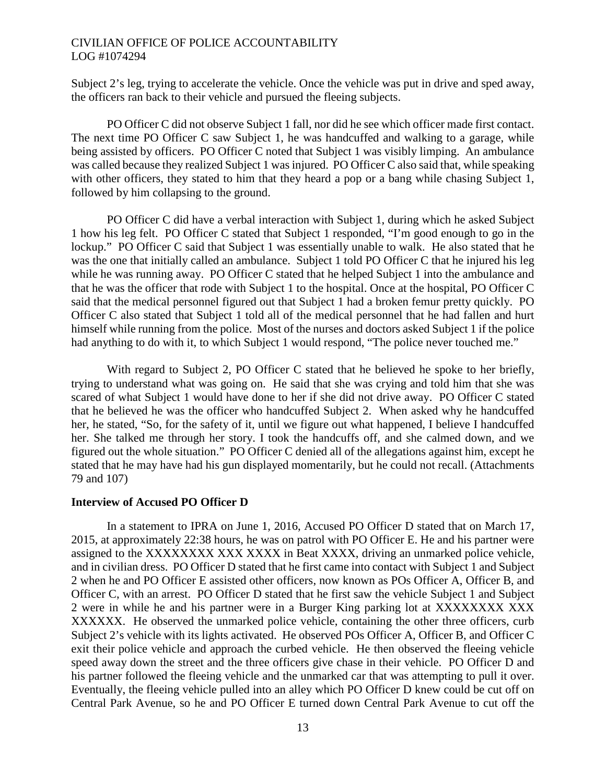Subject 2's leg, trying to accelerate the vehicle. Once the vehicle was put in drive and sped away, the officers ran back to their vehicle and pursued the fleeing subjects.

PO Officer C did not observe Subject 1 fall, nor did he see which officer made first contact. The next time PO Officer C saw Subject 1, he was handcuffed and walking to a garage, while being assisted by officers. PO Officer C noted that Subject 1 was visibly limping. An ambulance was called because they realized Subject 1 was injured. PO Officer C also said that, while speaking with other officers, they stated to him that they heard a pop or a bang while chasing Subject 1, followed by him collapsing to the ground.

PO Officer C did have a verbal interaction with Subject 1, during which he asked Subject 1 how his leg felt. PO Officer C stated that Subject 1 responded, "I'm good enough to go in the lockup." PO Officer C said that Subject 1 was essentially unable to walk. He also stated that he was the one that initially called an ambulance. Subject 1 told PO Officer C that he injured his leg while he was running away. PO Officer C stated that he helped Subject 1 into the ambulance and that he was the officer that rode with Subject 1 to the hospital. Once at the hospital, PO Officer C said that the medical personnel figured out that Subject 1 had a broken femur pretty quickly. PO Officer C also stated that Subject 1 told all of the medical personnel that he had fallen and hurt himself while running from the police. Most of the nurses and doctors asked Subject 1 if the police had anything to do with it, to which Subject 1 would respond, "The police never touched me."

With regard to Subject 2, PO Officer C stated that he believed he spoke to her briefly, trying to understand what was going on. He said that she was crying and told him that she was scared of what Subject 1 would have done to her if she did not drive away. PO Officer C stated that he believed he was the officer who handcuffed Subject 2. When asked why he handcuffed her, he stated, "So, for the safety of it, until we figure out what happened, I believe I handcuffed her. She talked me through her story. I took the handcuffs off, and she calmed down, and we figured out the whole situation." PO Officer C denied all of the allegations against him, except he stated that he may have had his gun displayed momentarily, but he could not recall. (Attachments 79 and 107)

### **Interview of Accused PO Officer D**

In a statement to IPRA on June 1, 2016, Accused PO Officer D stated that on March 17, 2015, at approximately 22:38 hours, he was on patrol with PO Officer E. He and his partner were assigned to the XXXXXXXX XXX XXXX in Beat XXXX, driving an unmarked police vehicle, and in civilian dress. PO Officer D stated that he first came into contact with Subject 1 and Subject 2 when he and PO Officer E assisted other officers, now known as POs Officer A, Officer B, and Officer C, with an arrest. PO Officer D stated that he first saw the vehicle Subject 1 and Subject 2 were in while he and his partner were in a Burger King parking lot at XXXXXXXX XXX XXXXXX. He observed the unmarked police vehicle, containing the other three officers, curb Subject 2's vehicle with its lights activated. He observed POs Officer A, Officer B, and Officer C exit their police vehicle and approach the curbed vehicle. He then observed the fleeing vehicle speed away down the street and the three officers give chase in their vehicle. PO Officer D and his partner followed the fleeing vehicle and the unmarked car that was attempting to pull it over. Eventually, the fleeing vehicle pulled into an alley which PO Officer D knew could be cut off on Central Park Avenue, so he and PO Officer E turned down Central Park Avenue to cut off the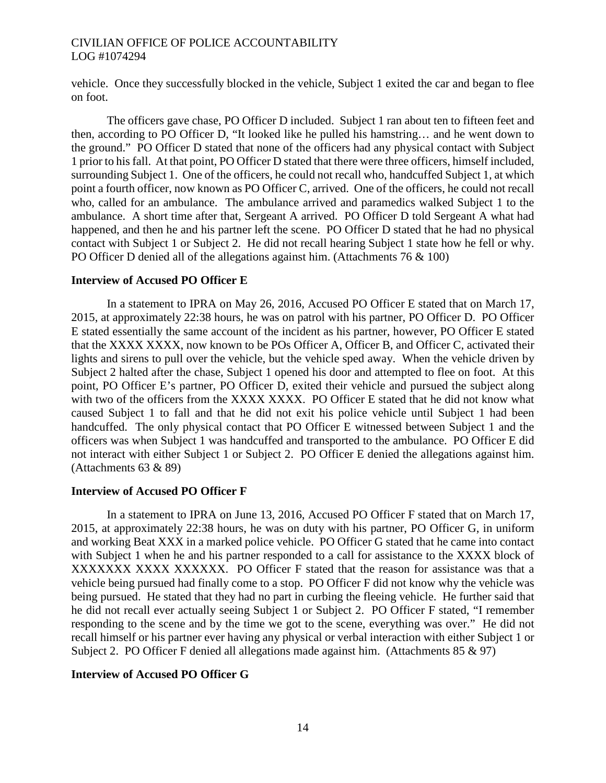vehicle. Once they successfully blocked in the vehicle, Subject 1 exited the car and began to flee on foot.

The officers gave chase, PO Officer D included. Subject 1 ran about ten to fifteen feet and then, according to PO Officer D, "It looked like he pulled his hamstring… and he went down to the ground." PO Officer D stated that none of the officers had any physical contact with Subject 1 prior to his fall. At that point, PO Officer D stated that there were three officers, himself included, surrounding Subject 1. One of the officers, he could not recall who, handcuffed Subject 1, at which point a fourth officer, now known as PO Officer C, arrived. One of the officers, he could not recall who, called for an ambulance. The ambulance arrived and paramedics walked Subject 1 to the ambulance. A short time after that, Sergeant A arrived. PO Officer D told Sergeant A what had happened, and then he and his partner left the scene. PO Officer D stated that he had no physical contact with Subject 1 or Subject 2. He did not recall hearing Subject 1 state how he fell or why. PO Officer D denied all of the allegations against him. (Attachments 76 & 100)

# **Interview of Accused PO Officer E**

In a statement to IPRA on May 26, 2016, Accused PO Officer E stated that on March 17, 2015, at approximately 22:38 hours, he was on patrol with his partner, PO Officer D. PO Officer E stated essentially the same account of the incident as his partner, however, PO Officer E stated that the XXXX XXXX, now known to be POs Officer A, Officer B, and Officer C, activated their lights and sirens to pull over the vehicle, but the vehicle sped away. When the vehicle driven by Subject 2 halted after the chase, Subject 1 opened his door and attempted to flee on foot. At this point, PO Officer E's partner, PO Officer D, exited their vehicle and pursued the subject along with two of the officers from the XXXX XXXX. PO Officer E stated that he did not know what caused Subject 1 to fall and that he did not exit his police vehicle until Subject 1 had been handcuffed. The only physical contact that PO Officer E witnessed between Subject 1 and the officers was when Subject 1 was handcuffed and transported to the ambulance. PO Officer E did not interact with either Subject 1 or Subject 2. PO Officer E denied the allegations against him. (Attachments 63 & 89)

# **Interview of Accused PO Officer F**

In a statement to IPRA on June 13, 2016, Accused PO Officer F stated that on March 17, 2015, at approximately 22:38 hours, he was on duty with his partner, PO Officer G, in uniform and working Beat XXX in a marked police vehicle. PO Officer G stated that he came into contact with Subject 1 when he and his partner responded to a call for assistance to the XXXX block of XXXXXXX XXXX XXXXXX. PO Officer F stated that the reason for assistance was that a vehicle being pursued had finally come to a stop. PO Officer F did not know why the vehicle was being pursued. He stated that they had no part in curbing the fleeing vehicle. He further said that he did not recall ever actually seeing Subject 1 or Subject 2. PO Officer F stated, "I remember responding to the scene and by the time we got to the scene, everything was over." He did not recall himself or his partner ever having any physical or verbal interaction with either Subject 1 or Subject 2. PO Officer F denied all allegations made against him. (Attachments 85 & 97)

# **Interview of Accused PO Officer G**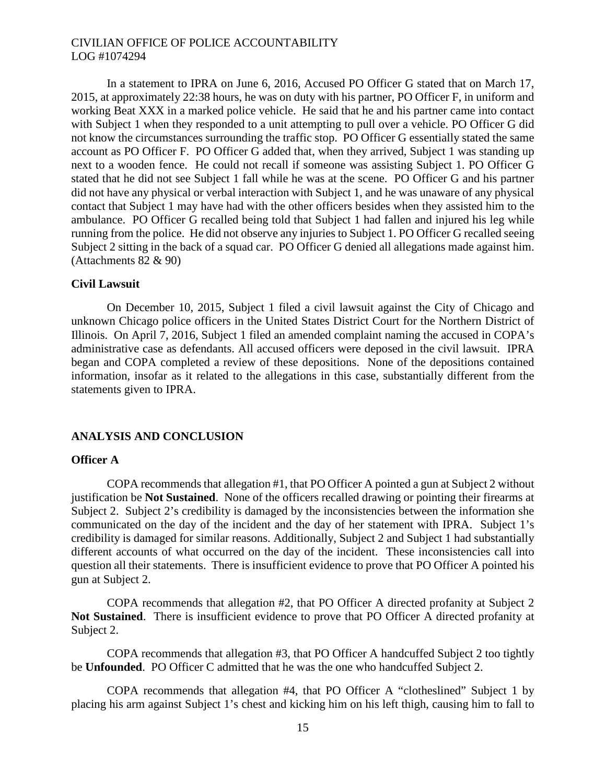In a statement to IPRA on June 6, 2016, Accused PO Officer G stated that on March 17, 2015, at approximately 22:38 hours, he was on duty with his partner, PO Officer F, in uniform and working Beat XXX in a marked police vehicle. He said that he and his partner came into contact with Subject 1 when they responded to a unit attempting to pull over a vehicle. PO Officer G did not know the circumstances surrounding the traffic stop. PO Officer G essentially stated the same account as PO Officer F. PO Officer G added that, when they arrived, Subject 1 was standing up next to a wooden fence. He could not recall if someone was assisting Subject 1. PO Officer G stated that he did not see Subject 1 fall while he was at the scene. PO Officer G and his partner did not have any physical or verbal interaction with Subject 1, and he was unaware of any physical contact that Subject 1 may have had with the other officers besides when they assisted him to the ambulance. PO Officer G recalled being told that Subject 1 had fallen and injured his leg while running from the police. He did not observe any injuries to Subject 1. PO Officer G recalled seeing Subject 2 sitting in the back of a squad car. PO Officer G denied all allegations made against him. (Attachments 82 & 90)

### **Civil Lawsuit**

On December 10, 2015, Subject 1 filed a civil lawsuit against the City of Chicago and unknown Chicago police officers in the United States District Court for the Northern District of Illinois. On April 7, 2016, Subject 1 filed an amended complaint naming the accused in COPA's administrative case as defendants. All accused officers were deposed in the civil lawsuit. IPRA began and COPA completed a review of these depositions. None of the depositions contained information, insofar as it related to the allegations in this case, substantially different from the statements given to IPRA.

# **ANALYSIS AND CONCLUSION**

#### **Officer A**

COPA recommends that allegation #1, that PO Officer A pointed a gun at Subject 2 without justification be **Not Sustained**. None of the officers recalled drawing or pointing their firearms at Subject 2. Subject 2's credibility is damaged by the inconsistencies between the information she communicated on the day of the incident and the day of her statement with IPRA. Subject 1's credibility is damaged for similar reasons. Additionally, Subject 2 and Subject 1 had substantially different accounts of what occurred on the day of the incident. These inconsistencies call into question all their statements. There is insufficient evidence to prove that PO Officer A pointed his gun at Subject 2.

COPA recommends that allegation #2, that PO Officer A directed profanity at Subject 2 **Not Sustained**. There is insufficient evidence to prove that PO Officer A directed profanity at Subject 2.

COPA recommends that allegation #3, that PO Officer A handcuffed Subject 2 too tightly be **Unfounded**. PO Officer C admitted that he was the one who handcuffed Subject 2.

COPA recommends that allegation #4, that PO Officer A "clotheslined" Subject 1 by placing his arm against Subject 1's chest and kicking him on his left thigh, causing him to fall to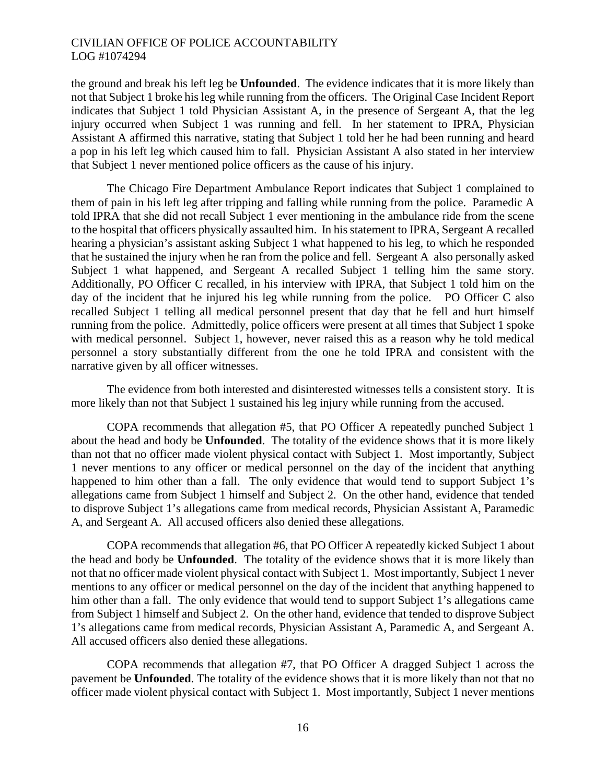the ground and break his left leg be **Unfounded**. The evidence indicates that it is more likely than not that Subject 1 broke his leg while running from the officers. The Original Case Incident Report indicates that Subject 1 told Physician Assistant A, in the presence of Sergeant A, that the leg injury occurred when Subject 1 was running and fell. In her statement to IPRA, Physician Assistant A affirmed this narrative, stating that Subject 1 told her he had been running and heard a pop in his left leg which caused him to fall. Physician Assistant A also stated in her interview that Subject 1 never mentioned police officers as the cause of his injury.

The Chicago Fire Department Ambulance Report indicates that Subject 1 complained to them of pain in his left leg after tripping and falling while running from the police. Paramedic A told IPRA that she did not recall Subject 1 ever mentioning in the ambulance ride from the scene to the hospital that officers physically assaulted him. In his statement to IPRA, Sergeant A recalled hearing a physician's assistant asking Subject 1 what happened to his leg, to which he responded that he sustained the injury when he ran from the police and fell. Sergeant A also personally asked Subject 1 what happened, and Sergeant A recalled Subject 1 telling him the same story. Additionally, PO Officer C recalled, in his interview with IPRA, that Subject 1 told him on the day of the incident that he injured his leg while running from the police. PO Officer C also recalled Subject 1 telling all medical personnel present that day that he fell and hurt himself running from the police. Admittedly, police officers were present at all times that Subject 1 spoke with medical personnel. Subject 1, however, never raised this as a reason why he told medical personnel a story substantially different from the one he told IPRA and consistent with the narrative given by all officer witnesses.

The evidence from both interested and disinterested witnesses tells a consistent story. It is more likely than not that Subject 1 sustained his leg injury while running from the accused.

COPA recommends that allegation #5, that PO Officer A repeatedly punched Subject 1 about the head and body be **Unfounded**. The totality of the evidence shows that it is more likely than not that no officer made violent physical contact with Subject 1. Most importantly, Subject 1 never mentions to any officer or medical personnel on the day of the incident that anything happened to him other than a fall. The only evidence that would tend to support Subject 1's allegations came from Subject 1 himself and Subject 2. On the other hand, evidence that tended to disprove Subject 1's allegations came from medical records, Physician Assistant A, Paramedic A, and Sergeant A. All accused officers also denied these allegations.

COPA recommends that allegation #6, that PO Officer A repeatedly kicked Subject 1 about the head and body be **Unfounded**. The totality of the evidence shows that it is more likely than not that no officer made violent physical contact with Subject 1. Most importantly, Subject 1 never mentions to any officer or medical personnel on the day of the incident that anything happened to him other than a fall. The only evidence that would tend to support Subject 1's allegations came from Subject 1 himself and Subject 2. On the other hand, evidence that tended to disprove Subject 1's allegations came from medical records, Physician Assistant A, Paramedic A, and Sergeant A. All accused officers also denied these allegations.

COPA recommends that allegation #7, that PO Officer A dragged Subject 1 across the pavement be **Unfounded**. The totality of the evidence shows that it is more likely than not that no officer made violent physical contact with Subject 1. Most importantly, Subject 1 never mentions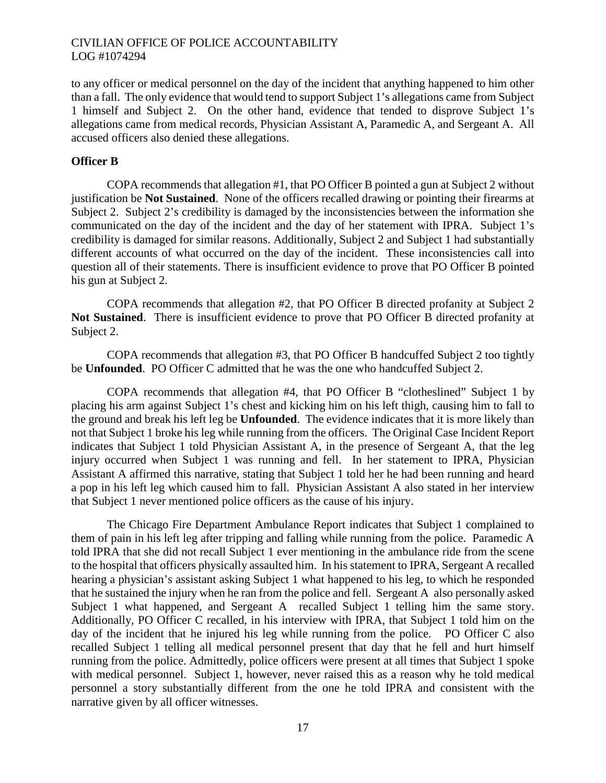to any officer or medical personnel on the day of the incident that anything happened to him other than a fall. The only evidence that would tend to support Subject 1's allegations came from Subject 1 himself and Subject 2. On the other hand, evidence that tended to disprove Subject 1's allegations came from medical records, Physician Assistant A, Paramedic A, and Sergeant A. All accused officers also denied these allegations.

### **Officer B**

COPA recommends that allegation #1, that PO Officer B pointed a gun at Subject 2 without justification be **Not Sustained**. None of the officers recalled drawing or pointing their firearms at Subject 2. Subject 2's credibility is damaged by the inconsistencies between the information she communicated on the day of the incident and the day of her statement with IPRA. Subject 1's credibility is damaged for similar reasons. Additionally, Subject 2 and Subject 1 had substantially different accounts of what occurred on the day of the incident. These inconsistencies call into question all of their statements. There is insufficient evidence to prove that PO Officer B pointed his gun at Subject 2.

COPA recommends that allegation #2, that PO Officer B directed profanity at Subject 2 **Not Sustained**. There is insufficient evidence to prove that PO Officer B directed profanity at Subject 2.

COPA recommends that allegation #3, that PO Officer B handcuffed Subject 2 too tightly be **Unfounded**. PO Officer C admitted that he was the one who handcuffed Subject 2.

COPA recommends that allegation #4, that PO Officer B "clotheslined" Subject 1 by placing his arm against Subject 1's chest and kicking him on his left thigh, causing him to fall to the ground and break his left leg be **Unfounded**. The evidence indicates that it is more likely than not that Subject 1 broke his leg while running from the officers. The Original Case Incident Report indicates that Subject 1 told Physician Assistant A, in the presence of Sergeant A, that the leg injury occurred when Subject 1 was running and fell. In her statement to IPRA, Physician Assistant A affirmed this narrative, stating that Subject 1 told her he had been running and heard a pop in his left leg which caused him to fall. Physician Assistant A also stated in her interview that Subject 1 never mentioned police officers as the cause of his injury.

The Chicago Fire Department Ambulance Report indicates that Subject 1 complained to them of pain in his left leg after tripping and falling while running from the police. Paramedic A told IPRA that she did not recall Subject 1 ever mentioning in the ambulance ride from the scene to the hospital that officers physically assaulted him. In his statement to IPRA, Sergeant A recalled hearing a physician's assistant asking Subject 1 what happened to his leg, to which he responded that he sustained the injury when he ran from the police and fell. Sergeant A also personally asked Subject 1 what happened, and Sergeant A recalled Subject 1 telling him the same story. Additionally, PO Officer C recalled, in his interview with IPRA, that Subject 1 told him on the day of the incident that he injured his leg while running from the police. PO Officer C also recalled Subject 1 telling all medical personnel present that day that he fell and hurt himself running from the police. Admittedly, police officers were present at all times that Subject 1 spoke with medical personnel. Subject 1, however, never raised this as a reason why he told medical personnel a story substantially different from the one he told IPRA and consistent with the narrative given by all officer witnesses.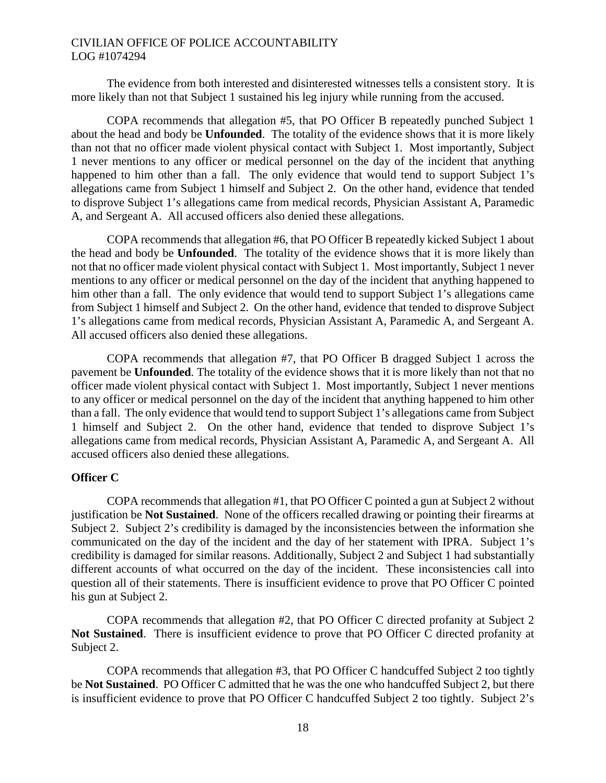The evidence from both interested and disinterested witnesses tells a consistent story. It is more likely than not that Subject 1 sustained his leg injury while running from the accused.

COPA recommends that allegation #5, that PO Officer B repeatedly punched Subject 1 about the head and body be **Unfounded**. The totality of the evidence shows that it is more likely than not that no officer made violent physical contact with Subject 1. Most importantly, Subject 1 never mentions to any officer or medical personnel on the day of the incident that anything happened to him other than a fall. The only evidence that would tend to support Subject 1's allegations came from Subject 1 himself and Subject 2. On the other hand, evidence that tended to disprove Subject 1's allegations came from medical records, Physician Assistant A, Paramedic A, and Sergeant A. All accused officers also denied these allegations.

COPA recommends that allegation #6, that PO Officer B repeatedly kicked Subject 1 about the head and body be **Unfounded**. The totality of the evidence shows that it is more likely than not that no officer made violent physical contact with Subject 1. Most importantly, Subject 1 never mentions to any officer or medical personnel on the day of the incident that anything happened to him other than a fall. The only evidence that would tend to support Subject 1's allegations came from Subject 1 himself and Subject 2. On the other hand, evidence that tended to disprove Subject 1's allegations came from medical records, Physician Assistant A, Paramedic A, and Sergeant A. All accused officers also denied these allegations.

COPA recommends that allegation #7, that PO Officer B dragged Subject 1 across the pavement be **Unfounded**. The totality of the evidence shows that it is more likely than not that no officer made violent physical contact with Subject 1. Most importantly, Subject 1 never mentions to any officer or medical personnel on the day of the incident that anything happened to him other than a fall. The only evidence that would tend to support Subject 1's allegations came from Subject 1 himself and Subject 2. On the other hand, evidence that tended to disprove Subject 1's allegations came from medical records, Physician Assistant A, Paramedic A, and Sergeant A. All accused officers also denied these allegations.

#### **Officer C**

COPA recommends that allegation #1, that PO Officer C pointed a gun at Subject 2 without justification be **Not Sustained**. None of the officers recalled drawing or pointing their firearms at Subject 2. Subject 2's credibility is damaged by the inconsistencies between the information she communicated on the day of the incident and the day of her statement with IPRA. Subject 1's credibility is damaged for similar reasons. Additionally, Subject 2 and Subject 1 had substantially different accounts of what occurred on the day of the incident. These inconsistencies call into question all of their statements. There is insufficient evidence to prove that PO Officer C pointed his gun at Subject 2.

COPA recommends that allegation #2, that PO Officer C directed profanity at Subject 2 **Not Sustained**. There is insufficient evidence to prove that PO Officer C directed profanity at Subject 2.

COPA recommends that allegation #3, that PO Officer C handcuffed Subject 2 too tightly be **Not Sustained**. PO Officer C admitted that he was the one who handcuffed Subject 2, but there is insufficient evidence to prove that PO Officer C handcuffed Subject 2 too tightly. Subject 2's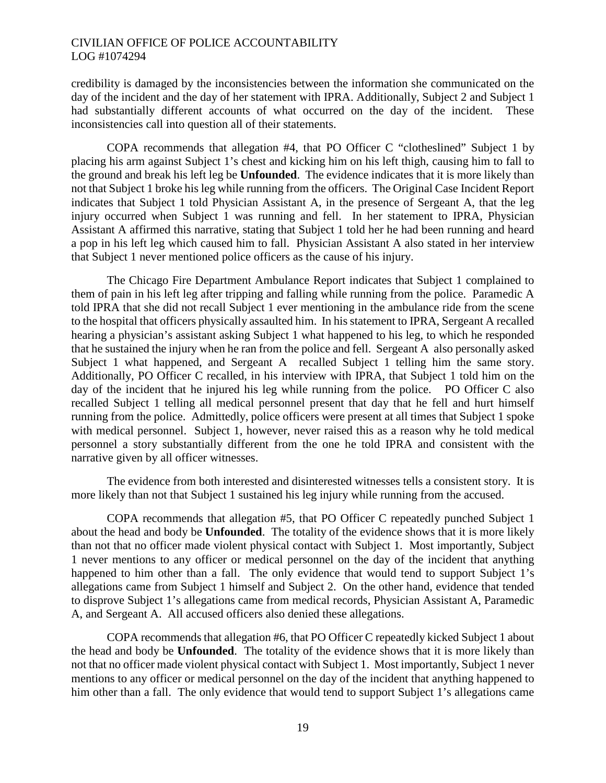credibility is damaged by the inconsistencies between the information she communicated on the day of the incident and the day of her statement with IPRA. Additionally, Subject 2 and Subject 1 had substantially different accounts of what occurred on the day of the incident. These inconsistencies call into question all of their statements.

COPA recommends that allegation #4, that PO Officer C "clotheslined" Subject 1 by placing his arm against Subject 1's chest and kicking him on his left thigh, causing him to fall to the ground and break his left leg be **Unfounded**. The evidence indicates that it is more likely than not that Subject 1 broke his leg while running from the officers. The Original Case Incident Report indicates that Subject 1 told Physician Assistant A, in the presence of Sergeant A, that the leg injury occurred when Subject 1 was running and fell. In her statement to IPRA, Physician Assistant A affirmed this narrative, stating that Subject 1 told her he had been running and heard a pop in his left leg which caused him to fall. Physician Assistant A also stated in her interview that Subject 1 never mentioned police officers as the cause of his injury.

The Chicago Fire Department Ambulance Report indicates that Subject 1 complained to them of pain in his left leg after tripping and falling while running from the police. Paramedic A told IPRA that she did not recall Subject 1 ever mentioning in the ambulance ride from the scene to the hospital that officers physically assaulted him. In his statement to IPRA, Sergeant A recalled hearing a physician's assistant asking Subject 1 what happened to his leg, to which he responded that he sustained the injury when he ran from the police and fell. Sergeant A also personally asked Subject 1 what happened, and Sergeant A recalled Subject 1 telling him the same story. Additionally, PO Officer C recalled, in his interview with IPRA, that Subject 1 told him on the day of the incident that he injured his leg while running from the police. PO Officer C also recalled Subject 1 telling all medical personnel present that day that he fell and hurt himself running from the police. Admittedly, police officers were present at all times that Subject 1 spoke with medical personnel. Subject 1, however, never raised this as a reason why he told medical personnel a story substantially different from the one he told IPRA and consistent with the narrative given by all officer witnesses.

The evidence from both interested and disinterested witnesses tells a consistent story. It is more likely than not that Subject 1 sustained his leg injury while running from the accused.

COPA recommends that allegation #5, that PO Officer C repeatedly punched Subject 1 about the head and body be **Unfounded**. The totality of the evidence shows that it is more likely than not that no officer made violent physical contact with Subject 1. Most importantly, Subject 1 never mentions to any officer or medical personnel on the day of the incident that anything happened to him other than a fall. The only evidence that would tend to support Subject 1's allegations came from Subject 1 himself and Subject 2. On the other hand, evidence that tended to disprove Subject 1's allegations came from medical records, Physician Assistant A, Paramedic A, and Sergeant A. All accused officers also denied these allegations.

COPA recommends that allegation #6, that PO Officer C repeatedly kicked Subject 1 about the head and body be **Unfounded**. The totality of the evidence shows that it is more likely than not that no officer made violent physical contact with Subject 1. Most importantly, Subject 1 never mentions to any officer or medical personnel on the day of the incident that anything happened to him other than a fall. The only evidence that would tend to support Subject 1's allegations came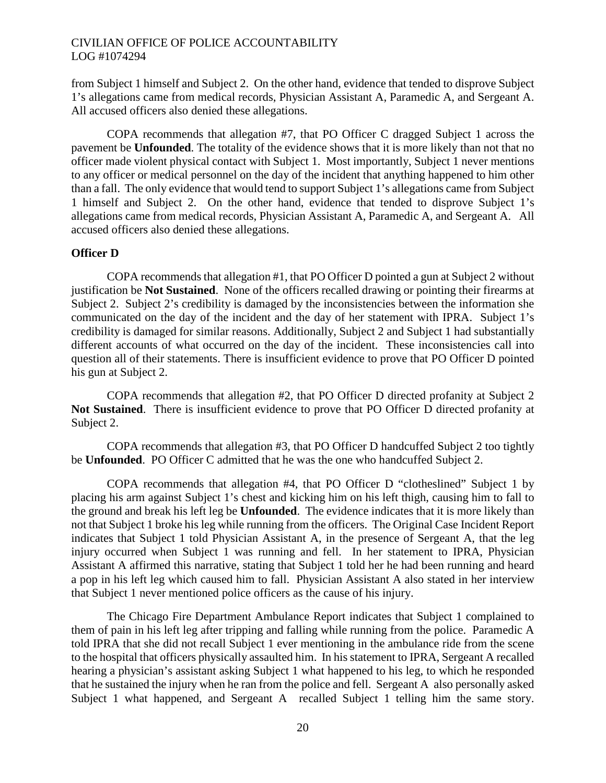from Subject 1 himself and Subject 2. On the other hand, evidence that tended to disprove Subject 1's allegations came from medical records, Physician Assistant A, Paramedic A, and Sergeant A. All accused officers also denied these allegations.

COPA recommends that allegation #7, that PO Officer C dragged Subject 1 across the pavement be **Unfounded**. The totality of the evidence shows that it is more likely than not that no officer made violent physical contact with Subject 1. Most importantly, Subject 1 never mentions to any officer or medical personnel on the day of the incident that anything happened to him other than a fall. The only evidence that would tend to support Subject 1's allegations came from Subject 1 himself and Subject 2. On the other hand, evidence that tended to disprove Subject 1's allegations came from medical records, Physician Assistant A, Paramedic A, and Sergeant A. All accused officers also denied these allegations.

#### **Officer D**

COPA recommends that allegation #1, that PO Officer D pointed a gun at Subject 2 without justification be **Not Sustained**. None of the officers recalled drawing or pointing their firearms at Subject 2. Subject 2's credibility is damaged by the inconsistencies between the information she communicated on the day of the incident and the day of her statement with IPRA. Subject 1's credibility is damaged for similar reasons. Additionally, Subject 2 and Subject 1 had substantially different accounts of what occurred on the day of the incident. These inconsistencies call into question all of their statements. There is insufficient evidence to prove that PO Officer D pointed his gun at Subject 2.

COPA recommends that allegation #2, that PO Officer D directed profanity at Subject 2 **Not Sustained**. There is insufficient evidence to prove that PO Officer D directed profanity at Subject 2.

COPA recommends that allegation #3, that PO Officer D handcuffed Subject 2 too tightly be **Unfounded**. PO Officer C admitted that he was the one who handcuffed Subject 2.

COPA recommends that allegation #4, that PO Officer D "clotheslined" Subject 1 by placing his arm against Subject 1's chest and kicking him on his left thigh, causing him to fall to the ground and break his left leg be **Unfounded**. The evidence indicates that it is more likely than not that Subject 1 broke his leg while running from the officers. The Original Case Incident Report indicates that Subject 1 told Physician Assistant A, in the presence of Sergeant A, that the leg injury occurred when Subject 1 was running and fell. In her statement to IPRA, Physician Assistant A affirmed this narrative, stating that Subject 1 told her he had been running and heard a pop in his left leg which caused him to fall. Physician Assistant A also stated in her interview that Subject 1 never mentioned police officers as the cause of his injury.

The Chicago Fire Department Ambulance Report indicates that Subject 1 complained to them of pain in his left leg after tripping and falling while running from the police. Paramedic A told IPRA that she did not recall Subject 1 ever mentioning in the ambulance ride from the scene to the hospital that officers physically assaulted him. In his statement to IPRA, Sergeant A recalled hearing a physician's assistant asking Subject 1 what happened to his leg, to which he responded that he sustained the injury when he ran from the police and fell. Sergeant A also personally asked Subject 1 what happened, and Sergeant A recalled Subject 1 telling him the same story.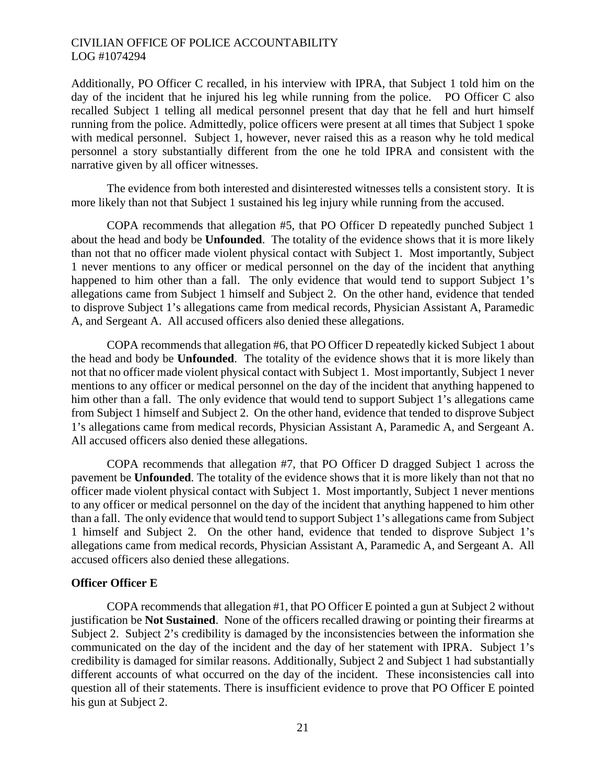Additionally, PO Officer C recalled, in his interview with IPRA, that Subject 1 told him on the day of the incident that he injured his leg while running from the police. PO Officer C also recalled Subject 1 telling all medical personnel present that day that he fell and hurt himself running from the police. Admittedly, police officers were present at all times that Subject 1 spoke with medical personnel. Subject 1, however, never raised this as a reason why he told medical personnel a story substantially different from the one he told IPRA and consistent with the narrative given by all officer witnesses.

The evidence from both interested and disinterested witnesses tells a consistent story. It is more likely than not that Subject 1 sustained his leg injury while running from the accused.

COPA recommends that allegation #5, that PO Officer D repeatedly punched Subject 1 about the head and body be **Unfounded**. The totality of the evidence shows that it is more likely than not that no officer made violent physical contact with Subject 1. Most importantly, Subject 1 never mentions to any officer or medical personnel on the day of the incident that anything happened to him other than a fall. The only evidence that would tend to support Subject 1's allegations came from Subject 1 himself and Subject 2. On the other hand, evidence that tended to disprove Subject 1's allegations came from medical records, Physician Assistant A, Paramedic A, and Sergeant A. All accused officers also denied these allegations.

COPA recommends that allegation #6, that PO Officer D repeatedly kicked Subject 1 about the head and body be **Unfounded**. The totality of the evidence shows that it is more likely than not that no officer made violent physical contact with Subject 1. Most importantly, Subject 1 never mentions to any officer or medical personnel on the day of the incident that anything happened to him other than a fall. The only evidence that would tend to support Subject 1's allegations came from Subject 1 himself and Subject 2. On the other hand, evidence that tended to disprove Subject 1's allegations came from medical records, Physician Assistant A, Paramedic A, and Sergeant A. All accused officers also denied these allegations.

COPA recommends that allegation #7, that PO Officer D dragged Subject 1 across the pavement be **Unfounded**. The totality of the evidence shows that it is more likely than not that no officer made violent physical contact with Subject 1. Most importantly, Subject 1 never mentions to any officer or medical personnel on the day of the incident that anything happened to him other than a fall. The only evidence that would tend to support Subject 1's allegations came from Subject 1 himself and Subject 2. On the other hand, evidence that tended to disprove Subject 1's allegations came from medical records, Physician Assistant A, Paramedic A, and Sergeant A. All accused officers also denied these allegations.

# **Officer Officer E**

COPA recommends that allegation #1, that PO Officer E pointed a gun at Subject 2 without justification be **Not Sustained**. None of the officers recalled drawing or pointing their firearms at Subject 2. Subject 2's credibility is damaged by the inconsistencies between the information she communicated on the day of the incident and the day of her statement with IPRA. Subject 1's credibility is damaged for similar reasons. Additionally, Subject 2 and Subject 1 had substantially different accounts of what occurred on the day of the incident. These inconsistencies call into question all of their statements. There is insufficient evidence to prove that PO Officer E pointed his gun at Subject 2.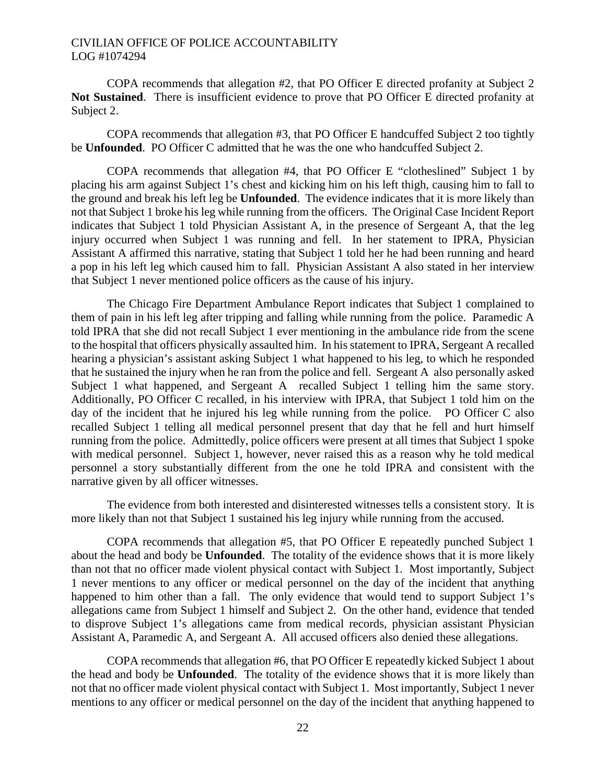COPA recommends that allegation #2, that PO Officer E directed profanity at Subject 2 **Not Sustained**. There is insufficient evidence to prove that PO Officer E directed profanity at Subject 2.

COPA recommends that allegation #3, that PO Officer E handcuffed Subject 2 too tightly be **Unfounded**. PO Officer C admitted that he was the one who handcuffed Subject 2.

COPA recommends that allegation #4, that PO Officer E "clotheslined" Subject 1 by placing his arm against Subject 1's chest and kicking him on his left thigh, causing him to fall to the ground and break his left leg be **Unfounded**. The evidence indicates that it is more likely than not that Subject 1 broke his leg while running from the officers. The Original Case Incident Report indicates that Subject 1 told Physician Assistant A, in the presence of Sergeant A, that the leg injury occurred when Subject 1 was running and fell. In her statement to IPRA, Physician Assistant A affirmed this narrative, stating that Subject 1 told her he had been running and heard a pop in his left leg which caused him to fall. Physician Assistant A also stated in her interview that Subject 1 never mentioned police officers as the cause of his injury.

The Chicago Fire Department Ambulance Report indicates that Subject 1 complained to them of pain in his left leg after tripping and falling while running from the police. Paramedic A told IPRA that she did not recall Subject 1 ever mentioning in the ambulance ride from the scene to the hospital that officers physically assaulted him. In his statement to IPRA, Sergeant A recalled hearing a physician's assistant asking Subject 1 what happened to his leg, to which he responded that he sustained the injury when he ran from the police and fell. Sergeant A also personally asked Subject 1 what happened, and Sergeant A recalled Subject 1 telling him the same story. Additionally, PO Officer C recalled, in his interview with IPRA, that Subject 1 told him on the day of the incident that he injured his leg while running from the police. PO Officer C also recalled Subject 1 telling all medical personnel present that day that he fell and hurt himself running from the police. Admittedly, police officers were present at all times that Subject 1 spoke with medical personnel. Subject 1, however, never raised this as a reason why he told medical personnel a story substantially different from the one he told IPRA and consistent with the narrative given by all officer witnesses.

The evidence from both interested and disinterested witnesses tells a consistent story. It is more likely than not that Subject 1 sustained his leg injury while running from the accused.

COPA recommends that allegation #5, that PO Officer E repeatedly punched Subject 1 about the head and body be **Unfounded**. The totality of the evidence shows that it is more likely than not that no officer made violent physical contact with Subject 1. Most importantly, Subject 1 never mentions to any officer or medical personnel on the day of the incident that anything happened to him other than a fall. The only evidence that would tend to support Subject 1's allegations came from Subject 1 himself and Subject 2. On the other hand, evidence that tended to disprove Subject 1's allegations came from medical records, physician assistant Physician Assistant A, Paramedic A, and Sergeant A. All accused officers also denied these allegations.

COPA recommends that allegation #6, that PO Officer E repeatedly kicked Subject 1 about the head and body be **Unfounded**. The totality of the evidence shows that it is more likely than not that no officer made violent physical contact with Subject 1. Most importantly, Subject 1 never mentions to any officer or medical personnel on the day of the incident that anything happened to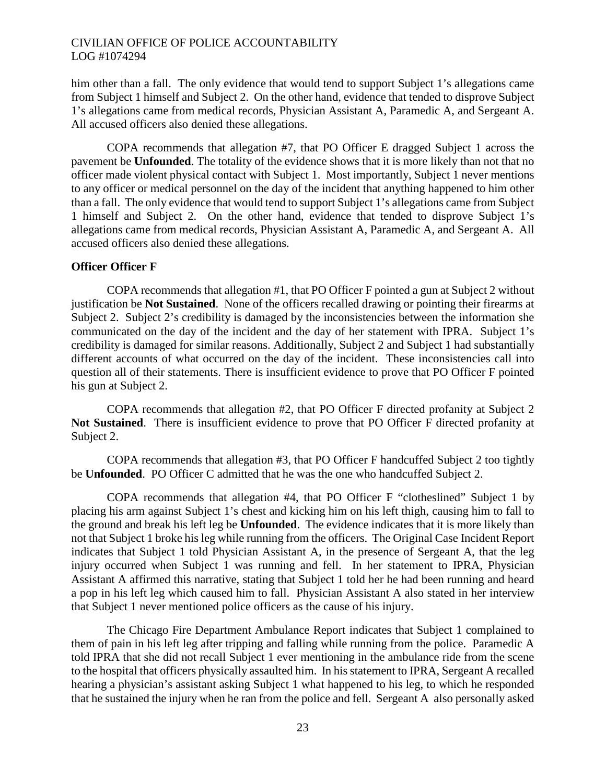him other than a fall. The only evidence that would tend to support Subject 1's allegations came from Subject 1 himself and Subject 2. On the other hand, evidence that tended to disprove Subject 1's allegations came from medical records, Physician Assistant A, Paramedic A, and Sergeant A. All accused officers also denied these allegations.

COPA recommends that allegation #7, that PO Officer E dragged Subject 1 across the pavement be **Unfounded**. The totality of the evidence shows that it is more likely than not that no officer made violent physical contact with Subject 1. Most importantly, Subject 1 never mentions to any officer or medical personnel on the day of the incident that anything happened to him other than a fall. The only evidence that would tend to support Subject 1's allegations came from Subject 1 himself and Subject 2. On the other hand, evidence that tended to disprove Subject 1's allegations came from medical records, Physician Assistant A, Paramedic A, and Sergeant A. All accused officers also denied these allegations.

#### **Officer Officer F**

COPA recommends that allegation #1, that PO Officer F pointed a gun at Subject 2 without justification be **Not Sustained**. None of the officers recalled drawing or pointing their firearms at Subject 2. Subject 2's credibility is damaged by the inconsistencies between the information she communicated on the day of the incident and the day of her statement with IPRA. Subject 1's credibility is damaged for similar reasons. Additionally, Subject 2 and Subject 1 had substantially different accounts of what occurred on the day of the incident. These inconsistencies call into question all of their statements. There is insufficient evidence to prove that PO Officer F pointed his gun at Subject 2.

COPA recommends that allegation #2, that PO Officer F directed profanity at Subject 2 **Not Sustained**. There is insufficient evidence to prove that PO Officer F directed profanity at Subject 2.

COPA recommends that allegation #3, that PO Officer F handcuffed Subject 2 too tightly be **Unfounded**. PO Officer C admitted that he was the one who handcuffed Subject 2.

COPA recommends that allegation #4, that PO Officer F "clotheslined" Subject 1 by placing his arm against Subject 1's chest and kicking him on his left thigh, causing him to fall to the ground and break his left leg be **Unfounded**. The evidence indicates that it is more likely than not that Subject 1 broke his leg while running from the officers. The Original Case Incident Report indicates that Subject 1 told Physician Assistant A, in the presence of Sergeant A, that the leg injury occurred when Subject 1 was running and fell. In her statement to IPRA, Physician Assistant A affirmed this narrative, stating that Subject 1 told her he had been running and heard a pop in his left leg which caused him to fall. Physician Assistant A also stated in her interview that Subject 1 never mentioned police officers as the cause of his injury.

The Chicago Fire Department Ambulance Report indicates that Subject 1 complained to them of pain in his left leg after tripping and falling while running from the police. Paramedic A told IPRA that she did not recall Subject 1 ever mentioning in the ambulance ride from the scene to the hospital that officers physically assaulted him. In his statement to IPRA, Sergeant A recalled hearing a physician's assistant asking Subject 1 what happened to his leg, to which he responded that he sustained the injury when he ran from the police and fell. Sergeant A also personally asked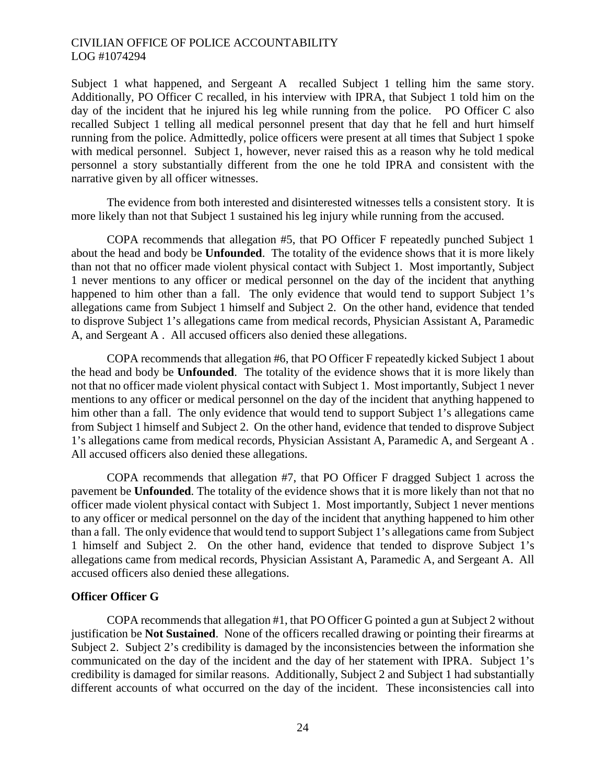Subject 1 what happened, and Sergeant A recalled Subject 1 telling him the same story. Additionally, PO Officer C recalled, in his interview with IPRA, that Subject 1 told him on the day of the incident that he injured his leg while running from the police. PO Officer C also recalled Subject 1 telling all medical personnel present that day that he fell and hurt himself running from the police. Admittedly, police officers were present at all times that Subject 1 spoke with medical personnel. Subject 1, however, never raised this as a reason why he told medical personnel a story substantially different from the one he told IPRA and consistent with the narrative given by all officer witnesses.

The evidence from both interested and disinterested witnesses tells a consistent story. It is more likely than not that Subject 1 sustained his leg injury while running from the accused.

COPA recommends that allegation #5, that PO Officer F repeatedly punched Subject 1 about the head and body be **Unfounded**. The totality of the evidence shows that it is more likely than not that no officer made violent physical contact with Subject 1. Most importantly, Subject 1 never mentions to any officer or medical personnel on the day of the incident that anything happened to him other than a fall. The only evidence that would tend to support Subject 1's allegations came from Subject 1 himself and Subject 2. On the other hand, evidence that tended to disprove Subject 1's allegations came from medical records, Physician Assistant A, Paramedic A, and Sergeant A . All accused officers also denied these allegations.

COPA recommends that allegation #6, that PO Officer F repeatedly kicked Subject 1 about the head and body be **Unfounded**. The totality of the evidence shows that it is more likely than not that no officer made violent physical contact with Subject 1. Most importantly, Subject 1 never mentions to any officer or medical personnel on the day of the incident that anything happened to him other than a fall. The only evidence that would tend to support Subject 1's allegations came from Subject 1 himself and Subject 2. On the other hand, evidence that tended to disprove Subject 1's allegations came from medical records, Physician Assistant A, Paramedic A, and Sergeant A . All accused officers also denied these allegations.

COPA recommends that allegation #7, that PO Officer F dragged Subject 1 across the pavement be **Unfounded**. The totality of the evidence shows that it is more likely than not that no officer made violent physical contact with Subject 1. Most importantly, Subject 1 never mentions to any officer or medical personnel on the day of the incident that anything happened to him other than a fall. The only evidence that would tend to support Subject 1's allegations came from Subject 1 himself and Subject 2. On the other hand, evidence that tended to disprove Subject 1's allegations came from medical records, Physician Assistant A, Paramedic A, and Sergeant A. All accused officers also denied these allegations.

#### **Officer Officer G**

COPA recommends that allegation #1, that PO Officer G pointed a gun at Subject 2 without justification be **Not Sustained**. None of the officers recalled drawing or pointing their firearms at Subject 2. Subject 2's credibility is damaged by the inconsistencies between the information she communicated on the day of the incident and the day of her statement with IPRA. Subject 1's credibility is damaged for similar reasons. Additionally, Subject 2 and Subject 1 had substantially different accounts of what occurred on the day of the incident. These inconsistencies call into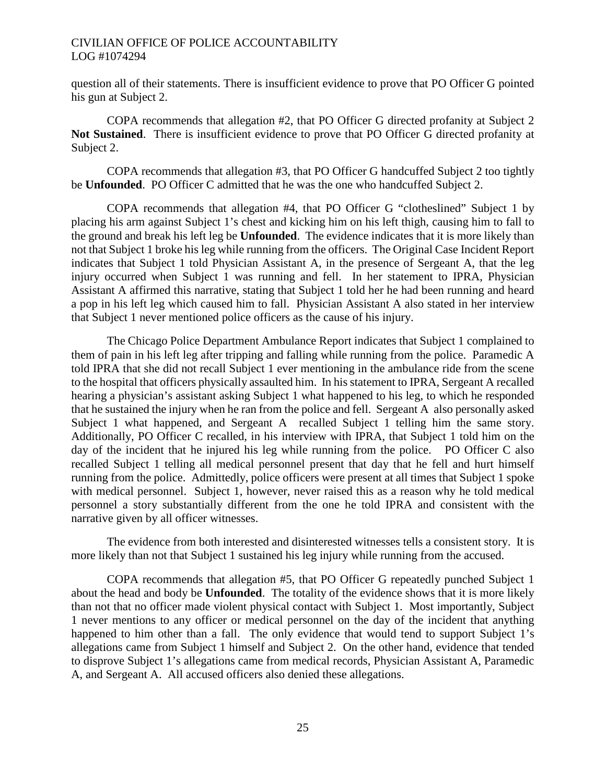question all of their statements. There is insufficient evidence to prove that PO Officer G pointed his gun at Subject 2.

COPA recommends that allegation #2, that PO Officer G directed profanity at Subject 2 **Not Sustained**. There is insufficient evidence to prove that PO Officer G directed profanity at Subject 2.

COPA recommends that allegation #3, that PO Officer G handcuffed Subject 2 too tightly be **Unfounded**. PO Officer C admitted that he was the one who handcuffed Subject 2.

COPA recommends that allegation #4, that PO Officer G "clotheslined" Subject 1 by placing his arm against Subject 1's chest and kicking him on his left thigh, causing him to fall to the ground and break his left leg be **Unfounded**. The evidence indicates that it is more likely than not that Subject 1 broke his leg while running from the officers. The Original Case Incident Report indicates that Subject 1 told Physician Assistant A, in the presence of Sergeant A, that the leg injury occurred when Subject 1 was running and fell. In her statement to IPRA, Physician Assistant A affirmed this narrative, stating that Subject 1 told her he had been running and heard a pop in his left leg which caused him to fall. Physician Assistant A also stated in her interview that Subject 1 never mentioned police officers as the cause of his injury.

The Chicago Police Department Ambulance Report indicates that Subject 1 complained to them of pain in his left leg after tripping and falling while running from the police. Paramedic A told IPRA that she did not recall Subject 1 ever mentioning in the ambulance ride from the scene to the hospital that officers physically assaulted him. In his statement to IPRA, Sergeant A recalled hearing a physician's assistant asking Subject 1 what happened to his leg, to which he responded that he sustained the injury when he ran from the police and fell. Sergeant A also personally asked Subject 1 what happened, and Sergeant A recalled Subject 1 telling him the same story. Additionally, PO Officer C recalled, in his interview with IPRA, that Subject 1 told him on the day of the incident that he injured his leg while running from the police. PO Officer C also recalled Subject 1 telling all medical personnel present that day that he fell and hurt himself running from the police. Admittedly, police officers were present at all times that Subject 1 spoke with medical personnel. Subject 1, however, never raised this as a reason why he told medical personnel a story substantially different from the one he told IPRA and consistent with the narrative given by all officer witnesses.

The evidence from both interested and disinterested witnesses tells a consistent story. It is more likely than not that Subject 1 sustained his leg injury while running from the accused.

COPA recommends that allegation #5, that PO Officer G repeatedly punched Subject 1 about the head and body be **Unfounded**. The totality of the evidence shows that it is more likely than not that no officer made violent physical contact with Subject 1. Most importantly, Subject 1 never mentions to any officer or medical personnel on the day of the incident that anything happened to him other than a fall. The only evidence that would tend to support Subject 1's allegations came from Subject 1 himself and Subject 2. On the other hand, evidence that tended to disprove Subject 1's allegations came from medical records, Physician Assistant A, Paramedic A, and Sergeant A. All accused officers also denied these allegations.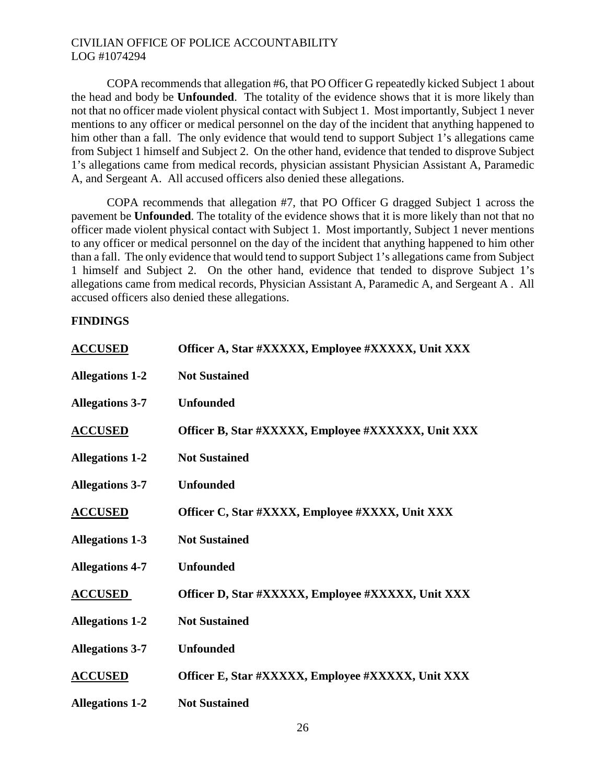COPA recommends that allegation #6, that PO Officer G repeatedly kicked Subject 1 about the head and body be **Unfounded**. The totality of the evidence shows that it is more likely than not that no officer made violent physical contact with Subject 1. Most importantly, Subject 1 never mentions to any officer or medical personnel on the day of the incident that anything happened to him other than a fall. The only evidence that would tend to support Subject 1's allegations came from Subject 1 himself and Subject 2. On the other hand, evidence that tended to disprove Subject 1's allegations came from medical records, physician assistant Physician Assistant A, Paramedic A, and Sergeant A. All accused officers also denied these allegations.

COPA recommends that allegation #7, that PO Officer G dragged Subject 1 across the pavement be **Unfounded**. The totality of the evidence shows that it is more likely than not that no officer made violent physical contact with Subject 1. Most importantly, Subject 1 never mentions to any officer or medical personnel on the day of the incident that anything happened to him other than a fall. The only evidence that would tend to support Subject 1's allegations came from Subject 1 himself and Subject 2. On the other hand, evidence that tended to disprove Subject 1's allegations came from medical records, Physician Assistant A, Paramedic A, and Sergeant A . All accused officers also denied these allegations.

# **FINDINGS**

| <b>ACCUSED</b>         | Officer A, Star #XXXXX, Employee #XXXXX, Unit XXX  |
|------------------------|----------------------------------------------------|
| <b>Allegations 1-2</b> | <b>Not Sustained</b>                               |
| <b>Allegations 3-7</b> | <b>Unfounded</b>                                   |
| <b>ACCUSED</b>         | Officer B, Star #XXXXX, Employee #XXXXXX, Unit XXX |
| <b>Allegations 1-2</b> | <b>Not Sustained</b>                               |
| <b>Allegations 3-7</b> | <b>Unfounded</b>                                   |
| <b>ACCUSED</b>         | Officer C, Star #XXXX, Employee #XXXX, Unit XXX    |
| <b>Allegations 1-3</b> | <b>Not Sustained</b>                               |
| <b>Allegations 4-7</b> | <b>Unfounded</b>                                   |
| <b>ACCUSED</b>         | Officer D, Star #XXXXX, Employee #XXXXX, Unit XXX  |
| <b>Allegations 1-2</b> | <b>Not Sustained</b>                               |
| <b>Allegations 3-7</b> | <b>Unfounded</b>                                   |
| <b>ACCUSED</b>         | Officer E, Star #XXXXX, Employee #XXXXX, Unit XXX  |
| <b>Allegations 1-2</b> | <b>Not Sustained</b>                               |